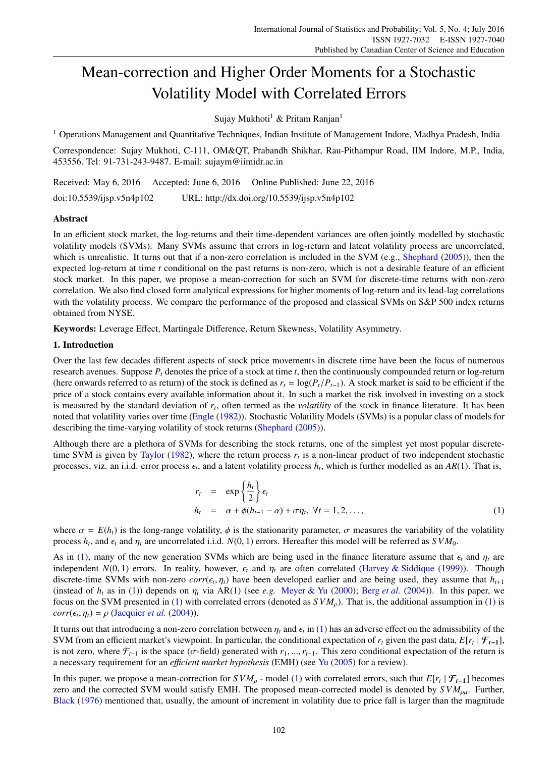# Mean-correction and Higher Order Moments for a Stochastic Volatility Model with Correlated Errors

Sujay Mukhoti<sup>1</sup> & Pritam Ranjan<sup>1</sup>

<sup>1</sup> Operations Management and Quantitative Techniques, Indian Institute of Management Indore, Madhya Pradesh, India

Correspondence: Sujay Mukhoti, C-111, OM&QT, Prabandh Shikhar, Rau-Pithampur Road, IIM Indore, M.P., India, 453556. Tel: 91-731-243-9487. E-mail: sujaym@iimidr.ac.in

Received: May 6, 2016 Accepted: June 6, 2016 Online Published: June 22, 2016

doi:10.5539/ijsp.v5n4p102 URL: http://dx.doi.org/10.5539/ijsp.v5n4p102

# Abstract

In an efficient stock market, the log-returns and their time-dependent variances are often jointly modelled by stochastic volatility models (SVMs). Many SVMs assume that errors in log-return and latent volatility process are uncorrelated, which is unrealistic. It turns out that if a non-zero correlation is included in the SVM (e.g., Shephard (2005)), then the expected log-return at time *t* conditional on the past returns is non-zero, which is not a desirable feature of an efficient stock market. In this paper, we propose a mean-correction for such an SVM for discrete-time returns with non-zero correlation. We also find closed form analytical expressions for higher moments of log-return and its lead-lag correlations with the volatility process. We compare the performance of the proposed and classical SVMs on S&P 500 index returns obtained from NYSE.

Keywords: Leverage Effect, Martingale Difference, Return Skewness, Volatility Asymmetry.

# 1. Introduction

Over the last few decades different aspects of stock price movements in discrete time have been the focus of numerous research avenues. Suppose *P<sup>t</sup>* denotes the price of a stock at time *t*, then the continuously compounded return or log-return (here onwards referred to as return) of the stock is defined as  $r_t = \log(P_t/P_{t-1})$ . A stock market is said to be efficient if the price of a stock contains every available information about it. In such a market the risk involved in investing on a stock is measured by the standard deviation of *r<sup>t</sup>* , often termed as the *volatility* of the stock in finance literature. It has been noted that volatility varies over time (Engle (1982)). Stochastic Volatility Models (SVMs) is a popular class of models for describing the time-varying volatility of stock returns (Shephard (2005)).

Although there are a plethora of SVMs for describing the stock returns, one of the simplest yet most popular discretetime SVM is given by Taylor (1982), where the return process  $r<sub>t</sub>$  is a non-linear product of two independent stochastic processes, viz. an i.i.d. error process  $\epsilon_t$ , and a latent volatility process  $h_t$ , which is further modelled as an  $AR(1)$ . That is,

$$
r_{t} = \exp\left\{\frac{h_{t}}{2}\right\} \epsilon_{t}
$$
  
\n
$$
h_{t} = \alpha + \phi(h_{t-1} - \alpha) + \sigma \eta_{t}, \ \forall t = 1, 2, ...,
$$
\n(1)

where  $\alpha = E(h_t)$  is the long-range volatility,  $\phi$  is the stationarity parameter,  $\sigma$  measures the variability of the volatility process  $h_t$ , and  $\epsilon_t$  and  $\eta_t$  are uncorrelated i.i.d.  $N(0, 1)$  errors. Hereafter this model will be referred as  $SVM_0$ .

As in (1), many of the new generation SVMs which are being used in the finance literature assume that  $\epsilon_t$  and  $\eta_t$  are independent  $N(0, 1)$  errors. In reality, however,  $\epsilon_t$  and  $\eta_t$  are often correlated (Harvey & Siddique (1999)). Though discrete-time SVMs with non-zero  $corr(\epsilon_t, \eta_t)$  have been developed earlier and are being used, they assume that  $h_{t+1}$ (instead of  $h_t$  as in (1)) depends on  $\eta_t$  via AR(1) (see *e.g.* Meyer & Yu (2000); Berg *et al.* (2004)). In this paper, we focus on the SVM presented in (1) with correlated errors (denoted as  $SVM<sub>o</sub>$ ). That is, the additional assumption in (1) is  $corr(\epsilon_t, \eta_t) = \rho$  (Jacquier *et al.* (2004)).

It turns out that introducing a non-zero correlation between  $\eta_t$  and  $\epsilon_t$  in (1) has an adverse effect on the admissibility of the SVM from an efficient market's viewpoint. In particular, the conditional expectation of  $r_t$  given the past data,  $E[r_t | \mathcal{F}_{t-1}]$ , is not zero, where  $\mathcal{F}_{t-1}$  is the space ( $\sigma$ -field) generated with  $r_1, ..., r_{t-1}$ . This zero conditional expectation of the return is a necessary requirement for an *e*ffi*cient market hypothesis* (EMH) (see Yu (2005) for a review).

In this paper, we propose a mean-correction for  $SVM_\rho$  - model (1) with correlated errors, such that  $E[r_t | \mathcal{F}_{t-1}]$  becomes zero and the corrected SVM would satisfy EMH. The proposed mean-corrected model is denoted by  $SVM_{\rho\mu}$ . Further, Black (1976) mentioned that, usually, the amount of increment in volatility due to price fall is larger than the magnitude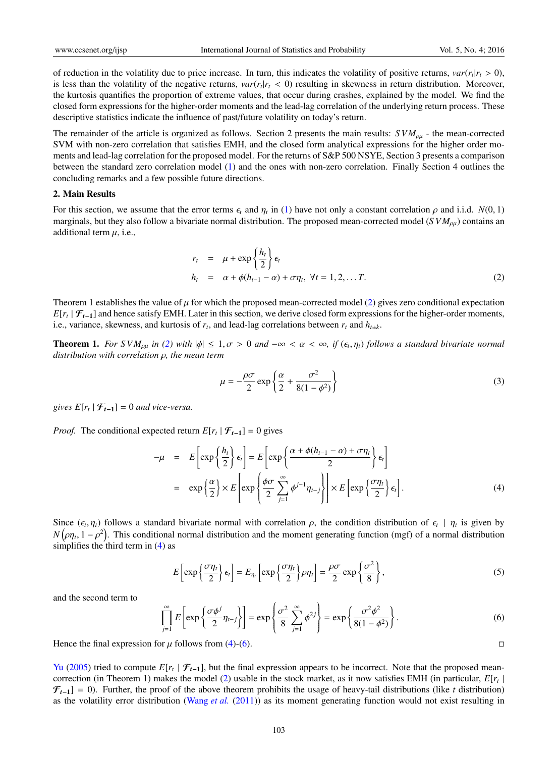of reduction in the volatility due to price increase. In turn, this indicates the volatility of positive returns,  $var(r_t|r_t > 0)$ , is less than the volatility of the negative returns,  $var(r_t|r_t < 0)$  resulting in skewness in return distribution. Moreover, the kurtosis quantifies the proportion of extreme values, that occur during crashes, explained by the model. We find the closed form expressions for the higher-order moments and the lead-lag correlation of the underlying return process. These descriptive statistics indicate the influence of past/future volatility on today's return.

The remainder of the article is organized as follows. Section 2 presents the main results:  $SVM_{ou}$  - the mean-corrected SVM with non-zero correlation that satisfies EMH, and the closed form analytical expressions for the higher order moments and lead-lag correlation for the proposed model. For the returns of S&P 500 NSYE, Section 3 presents a comparison between the standard zero correlation model (1) and the ones with non-zero correlation. Finally Section 4 outlines the concluding remarks and a few possible future directions.

## 2. Main Results

For this section, we assume that the error terms  $\epsilon_t$  and  $\eta_t$  in (1) have not only a constant correlation  $\rho$  and i.i.d. *N*(0, 1) marginals, but they also follow a bivariate normal distribution. The proposed mean-corrected model ( $SVM<sub>ou</sub>$ ) contains an additional term  $\mu$ , i.e.,

$$
r_{t} = \mu + \exp\left\{\frac{h_{t}}{2}\right\} \epsilon_{t}
$$
  
\n
$$
h_{t} = \alpha + \phi(h_{t-1} - \alpha) + \sigma \eta_{t}, \ \forall t = 1, 2, \dots T.
$$
\n(2)

Theorem 1 establishes the value of  $\mu$  for which the proposed mean-corrected model (2) gives zero conditional expectation  $E[r_t | \mathcal{F}_{t-1}]$  and hence satisfy EMH. Later in this section, we derive closed form expressions for the higher-order moments, i.e., variance, skewness, and kurtosis of  $r_t$ , and lead-lag correlations between  $r_t$  and  $h_{t\pm k}$ .

**Theorem 1.** For SVM<sub>pµ</sub> in (2) with  $|\phi| \leq 1, \sigma > 0$  and  $-\infty < \alpha < \infty$ , if  $(\epsilon_t, \eta_t)$  follows a standard bivariate normal *distribution with correlation* ρ*, the mean term*

$$
\mu = -\frac{\rho \sigma}{2} \exp\left\{\frac{\alpha}{2} + \frac{\sigma^2}{8(1 - \phi^2)}\right\} \tag{3}
$$

*gives*  $E[r_t | \mathcal{F}_{t-1}] = 0$  *and vice-versa.* 

*Proof.* The conditional expected return  $E[r_t | \mathcal{F}_{t-1}] = 0$  gives

$$
-\mu = E\left[\exp\left\{\frac{h_t}{2}\right\}\epsilon_t\right] = E\left[\exp\left\{\frac{\alpha + \phi(h_{t-1} - \alpha) + \sigma\eta_t}{2}\right\}\epsilon_t\right]
$$

$$
= \exp\left\{\frac{\alpha}{2}\right\} \times E\left[\exp\left\{\frac{\phi\sigma}{2}\sum_{j=1}^{\infty}\phi^{j-1}\eta_{t-j}\right\}\right] \times E\left[\exp\left\{\frac{\sigma\eta_t}{2}\right\}\epsilon_t\right].
$$
 (4)

Since  $(\epsilon_t, \eta_t)$  follows a standard bivariate normal with correlation  $\rho$ , the condition distribution of  $\epsilon_t | \eta_t$  is given by  $N(\rho\eta_t, 1-\rho^2)$ . This conditional normal distribution and the moment generating function (mgf) of a normal distribution simplifies the third term in  $(4)$  as

$$
E\left[\exp\left\{\frac{\sigma\eta_t}{2}\right\}\epsilon_t\right] = E_{\eta_t}\left[\exp\left\{\frac{\sigma\eta_t}{2}\right\}\rho\eta_t\right] = \frac{\rho\sigma}{2}\exp\left\{\frac{\sigma^2}{8}\right\},\tag{5}
$$

and the second term to

$$
\prod_{j=1}^{\infty} E\left[\exp\left\{\frac{\sigma \phi^j}{2} \eta_{t-j}\right\}\right] = \exp\left\{\frac{\sigma^2}{8} \sum_{j=1}^{\infty} \phi^{2j}\right\} = \exp\left\{\frac{\sigma^2 \phi^2}{8(1 - \phi^2)}\right\}.
$$
\n(6)

Hence the final expression for  $\mu$  follows from (4)-(6).

Yu (2005) tried to compute  $E[r_t | \mathcal{F}_{t-1}]$ , but the final expression appears to be incorrect. Note that the proposed meancorrection (in Theorem 1) makes the model (2) usable in the stock market, as it now satisfies EMH (in particular, *E*[*r<sup>t</sup>* |  $\mathcal{F}_{t-1}$ ] = 0). Further, the proof of the above theorem prohibits the usage of heavy-tail distributions (like *t* distribution) as the volatility error distribution (Wang *et al.* (2011)) as its moment generating function would not exist resulting in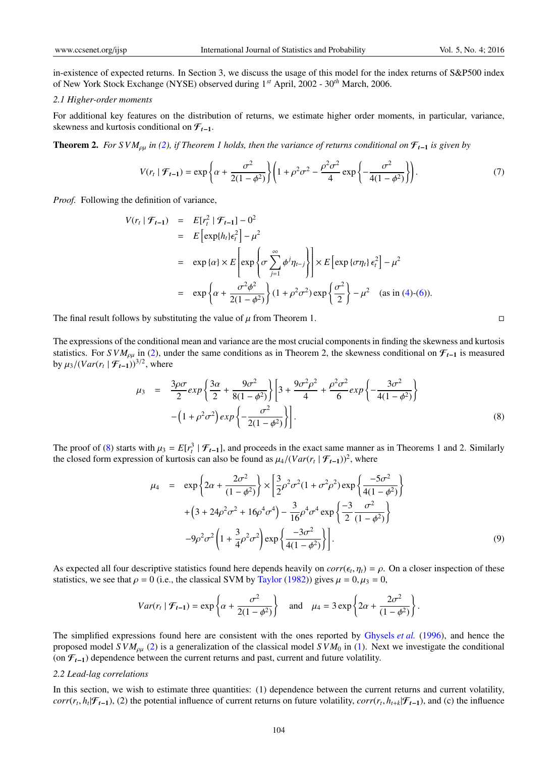in-existence of expected returns. In Section 3, we discuss the usage of this model for the index returns of S&P500 index of New York Stock Exchange (NYSE) observed during 1*st* April, 2002 - 30*th* March, 2006.

#### *2.1 Higher-order moments*

For additional key features on the distribution of returns, we estimate higher order moments, in particular, variance, skewness and kurtosis conditional on F*<sup>t</sup>*−<sup>1</sup>.

**Theorem 2.** *For SVM*<sub> $ρμ$ </sub> *in* (2), *if Theorem 1 holds, then the variance of returns conditional on*  $F_{t-1}$  *is given by* 

$$
V(r_t | \mathcal{F}_{t-1}) = \exp\left\{\alpha + \frac{\sigma^2}{2(1 - \phi^2)}\right\} \left(1 + \rho^2 \sigma^2 - \frac{\rho^2 \sigma^2}{4} \exp\left\{-\frac{\sigma^2}{4(1 - \phi^2)}\right\}\right). \tag{7}
$$

*Proof.* Following the definition of variance,

$$
V(r_t | \mathcal{F}_{t-1}) = E[r_t^2 | \mathcal{F}_{t-1}] - 0^2
$$
  
\n
$$
= E\left[\exp\{h_t\} \epsilon_t^2\right] - \mu^2
$$
  
\n
$$
= \exp\{\alpha\} \times E\left[\exp\left\{\sigma \sum_{j=1}^{\infty} \phi^j \eta_{t-j}\right\}\right] \times E\left[\exp\{\sigma \eta_t\} \epsilon_t^2\right] - \mu^2
$$
  
\n
$$
= \exp\left\{\alpha + \frac{\sigma^2 \phi^2}{2(1 - \phi^2)}\right\} (1 + \rho^2 \sigma^2) \exp\left\{\frac{\sigma^2}{2}\right\} - \mu^2 \quad \text{(as in (4)-(6)).}
$$

The final result follows by substituting the value of  $\mu$  from Theorem 1.

The expressions of the conditional mean and variance are the most crucial components in finding the skewness and kurtosis statistics. For *S VM*<sub>ρμ</sub> in (2), under the same conditions as in Theorem 2, the skewness conditional on  $\mathcal{F}_{t-1}$  is measured by  $\mu_3/(Var(r_t | \mathcal{F}_{t-1}))^{3/2}$ , where

$$
\mu_3 = \frac{3\rho\sigma}{2} exp\left\{\frac{3\alpha}{2} + \frac{9\sigma^2}{8(1-\phi^2)}\right\} \left[3 + \frac{9\sigma^2\rho^2}{4} + \frac{\rho^2\sigma^2}{6} exp\left\{-\frac{3\sigma^2}{4(1-\phi^2)}\right\} - \left(1 + \rho^2\sigma^2\right) exp\left\{-\frac{\sigma^2}{2(1-\phi^2)}\right\} \right].
$$
\n(8)

The proof of (8) starts with  $\mu_3 = E[r_t^3 | \mathcal{F}_{t-1}]$ , and proceeds in the exact same manner as in Theorems 1 and 2. Similarly the closed form expression of kurtosis can also be found as  $\mu_4/(Var(r_t | \mathcal{F}_{t-1}))^2$ , where

$$
\mu_4 = \exp\left\{2\alpha + \frac{2\sigma^2}{(1-\phi^2)}\right\} \times \left[\frac{3}{2}\rho^2 \sigma^2 (1+\sigma^2 \rho^2) \exp\left\{\frac{-5\sigma^2}{4(1-\phi^2)}\right\} + \left(3 + 24\rho^2 \sigma^2 + 16\rho^4 \sigma^4\right) - \frac{3}{16}\rho^4 \sigma^4 \exp\left\{\frac{-3}{2} \frac{\sigma^2}{(1-\phi^2)}\right\} - 9\rho^2 \sigma^2 \left(1 + \frac{3}{4}\rho^2 \sigma^2\right) \exp\left\{\frac{-3\sigma^2}{4(1-\phi^2)}\right\} \right].
$$
\n(9)

As expected all four descriptive statistics found here depends heavily on  $corr(\epsilon_t, \eta_t) = \rho$ . On a closer inspection of these statistics, we see that  $\rho = 0$  (i.e., the classical SVM by Taylor (1982)) gives  $\mu = 0, \mu_3 = 0$ ,

$$
Var(r_t | \mathcal{F}_{t-1}) = \exp\left\{\alpha + \frac{\sigma^2}{2(1-\phi^2)}\right\} \text{ and } \mu_4 = 3\exp\left\{2\alpha + \frac{2\sigma^2}{(1-\phi^2)}\right\}.
$$

The simplified expressions found here are consistent with the ones reported by Ghysels *et al.* (1996), and hence the proposed model *S VM<sub>ou</sub>* (2) is a generalization of the classical model *S VM*<sub>0</sub> in (1). Next we investigate the conditional (on F*<sup>t</sup>*−<sup>1</sup>) dependence between the current returns and past, current and future volatility.

## *2.2 Lead-lag correlations*

In this section, we wish to estimate three quantities: (1) dependence between the current returns and current volatility,  $corr(r_t, h_t | \mathcal{F}_{t-1})$ , (2) the potential influence of current returns on future volatility,  $corr(r_t, h_{t+k} | \mathcal{F}_{t-1})$ , and (c) the influence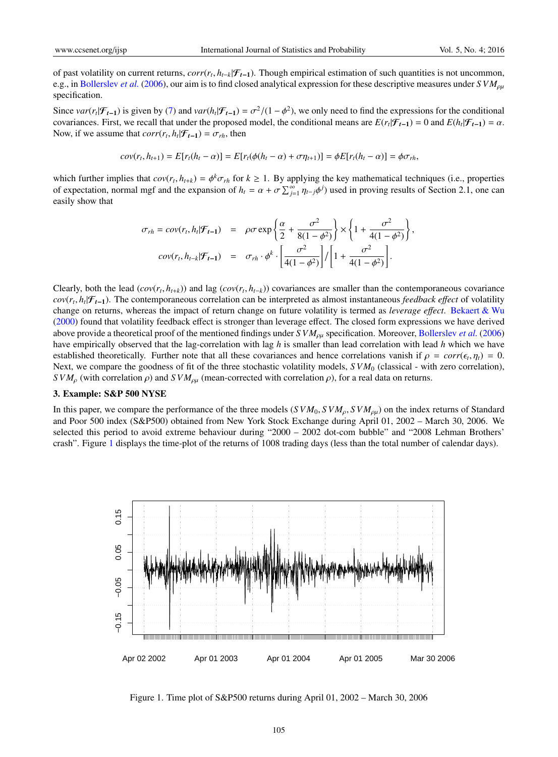of past volatility on current returns, *corr*(*r<sup>t</sup>* , *ht*−*k*|F*<sup>t</sup>*−<sup>1</sup>). Though empirical estimation of such quantities is not uncommon, e.g., in Bollerslev *et al.* (2006), our aim is to find closed analytical expression for these descriptive measures under  $SVM_{\rho\mu}$ specification.

Since  $var(r_t | \mathcal{F}_{t-1})$  is given by (7) and  $var(h_t | \mathcal{F}_{t-1}) = \sigma^2/(1 - \phi^2)$ , we only need to find the expressions for the conditional covariances. First, we recall that under the proposed model, the conditional means are  $E(r_t|\mathcal{F}_{t-1}) = 0$  and  $E(h_t|\mathcal{F}_{t-1}) = \alpha$ . Now, if we assume that  $corr(r_t, h_t | \mathcal{F}_{t-1}) = \sigma_{rh}$ , then

$$
cov(r_t, h_{t+1}) = E[r_t(h_t - \alpha)] = E[r_t(\phi(h_t - \alpha) + \sigma \eta_{t+1})] = \phi E[r_t(h_t - \alpha)] = \phi \sigma_{rh},
$$

which further implies that  $cov(r_t, h_{t+k}) = \phi^k \sigma_{rh}$  for  $k \ge 1$ . By applying the key mathematical techniques (i.e., properties of expectation, normal mgf and the expansion of  $h_t = \alpha + \sigma \sum_{j=1}^{\infty} \eta_{t-j} \phi^j$  used in proving results of Section 2.1, one can easily show that

$$
\sigma_{rh} = cov(r_t, h_t | \mathcal{F}_{t-1}) = \rho \sigma \exp\left\{\frac{\alpha}{2} + \frac{\sigma^2}{8(1-\phi^2)}\right\} \times \left\{1 + \frac{\sigma^2}{4(1-\phi^2)}\right\},
$$

$$
cov(r_t, h_{t-k} | \mathcal{F}_{t-1}) = \sigma_{rh} \cdot \phi^k \cdot \left[\frac{\sigma^2}{4(1-\phi^2)}\right] / \left[1 + \frac{\sigma^2}{4(1-\phi^2)}\right].
$$

Clearly, both the lead ( $cov(r_t, h_{t+k})$ ) and lag ( $cov(r_t, h_{t-k})$ ) covariances are smaller than the contemporaneous covariance *cov*(*r<sup>t</sup>* , *h<sup>t</sup>* |F*<sup>t</sup>*−<sup>1</sup>). The contemporaneous correlation can be interpreted as almost instantaneous *feedback e*ff*ect* of volatility change on returns, whereas the impact of return change on future volatility is termed as *leverage e*ff*ect*. Bekaert & Wu (2000) found that volatility feedback effect is stronger than leverage effect. The closed form expressions we have derived above provide a theoretical proof of the mentioned findings under *S VM*ρµ specification. Moreover, Bollerslev *et al.* (2006) have empirically observed that the lag-correlation with lag *h* is smaller than lead correlation with lead *h* which we have established theoretically. Further note that all these covariances and hence correlations vanish if  $\rho = corr(\epsilon_t, \eta_t) = 0$ . Next, we compare the goodness of fit of the three stochastic volatility models,  $SVM_0$  (classical - with zero correlation), *S VM<sub>p</sub>* (with correlation  $\rho$ ) and *S VM<sub>pµ</sub>* (mean-corrected with correlation  $\rho$ ), for a real data on returns.

#### 3. Example: S&P 500 NYSE

In this paper, we compare the performance of the three models ( $SVM_0$ ,  $SWM_0$ ,  $SWM_{\rho\mu}$ ) on the index returns of Standard and Poor 500 index (S&P500) obtained from New York Stock Exchange during April 01, 2002 – March 30, 2006. We selected this period to avoid extreme behaviour during "2000 – 2002 dot-com bubble" and "2008 Lehman Brothers' crash". Figure 1 displays the time-plot of the returns of 1008 trading days (less than the total number of calendar days).



Figure 1. Time plot of S&P500 returns during April 01, 2002 – March 30, 2006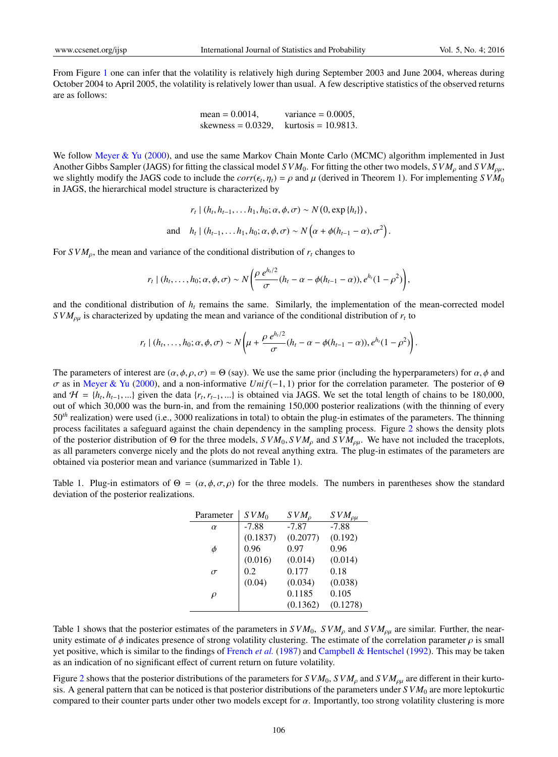From Figure 1 one can infer that the volatility is relatively high during September 2003 and June 2004, whereas during October 2004 to April 2005, the volatility is relatively lower than usual. A few descriptive statistics of the observed returns are as follows:

mean = 0.0014, variance = 0.0005, skewness = 0.0329, kurtosis = 10.9813.

We follow Meyer & Yu (2000), and use the same Markov Chain Monte Carlo (MCMC) algorithm implemented in Just Another Gibbs Sampler (JAGS) for fitting the classical model *S VM*<sub>0</sub>. For fitting the other two models, *S VM*<sub>ρ</sub> and *S VM*<sub>ρu</sub>, we slightly modify the JAGS code to include the  $corr(\epsilon_t, \eta_t) = \rho$  and  $\mu$  (derived in Theorem 1). For implementing  $SVM_0$ in JAGS, the hierarchical model structure is characterized by

$$
r_t \mid (h_t, h_{t-1}, \dots, h_1, h_0; \alpha, \phi, \sigma) \sim N(0, \exp\{h_t\}),
$$
  
and 
$$
h_t \mid (h_{t-1}, \dots, h_1, h_0; \alpha, \phi, \sigma) \sim N(\alpha + \phi(h_{t-1} - \alpha), \sigma^2).
$$

For  $SVM<sub>\rho</sub>$ , the mean and variance of the conditional distribution of  $r<sub>t</sub>$  changes to

$$
r_t|(h_t,\ldots,h_0;\alpha,\phi,\sigma)\sim N\bigg(\frac{\rho e^{h_t/2}}{\sigma}(h_t-\alpha-\phi(h_{t-1}-\alpha)),e^{h_t}(1-\rho^2)\bigg),
$$

and the conditional distribution of  $h<sub>t</sub>$  remains the same. Similarly, the implementation of the mean-corrected model  $SVM_{\rho\mu}$  is characterized by updating the mean and variance of the conditional distribution of  $r_t$  to

$$
r_t \mid (h_t, \ldots, h_0; \alpha, \phi, \sigma) \sim N \left( \mu + \frac{\rho e^{h_t/2}}{\sigma} (h_t - \alpha - \phi(h_{t-1} - \alpha)), e^{h_t} (1 - \rho^2) \right).
$$

The parameters of interest are  $(\alpha, \phi, \rho, \sigma) = \Theta$  (say). We use the same prior (including the hyperparameters) for  $\alpha, \phi$  and σ as in Meyer & Yu (2000), and a non-informative *Uni f*(−1, 1) prior for the correlation parameter. The posterior of Θ and  $H = \{h_t, h_{t-1}, ...\}$  given the data  $\{r_t, r_{t-1}, ...\}$  is obtained via JAGS. We set the total length of chains to be 180,000, out of which 30,000 was the burn-in, and from the remaining 150,000 posterior realizations (with the thinning of every 50*th* realization) were used (i.e., 3000 realizations in total) to obtain the plug-in estimates of the parameters. The thinning process facilitates a safeguard against the chain dependency in the sampling process. Figure 2 shows the density plots of the posterior distribution of Θ for the three models,  $SVM_0$ ,  $SVM_\rho$  and  $SVM_{\rho\mu}$ . We have not included the traceplots, as all parameters converge nicely and the plots do not reveal anything extra. The plug-in estimates of the parameters are obtained via posterior mean and variance (summarized in Table 1).

Table 1. Plug-in estimators of  $\Theta = (\alpha, \phi, \sigma, \rho)$  for the three models. The numbers in parentheses show the standard deviation of the posterior realizations.

| Parameter | $SVM_0$  | $SVM_{\rho}$ | $SVM_{\rho\mu}$ |
|-----------|----------|--------------|-----------------|
| $\alpha$  | $-7.88$  | $-7.87$      | $-7.88$         |
|           | (0.1837) | (0.2077)     | (0.192)         |
| φ         | 0.96     | 0.97         | 0.96            |
|           | (0.016)  | (0.014)      | (0.014)         |
| $\sigma$  | 0.2      | 0.177        | 0.18            |
|           | (0.04)   | (0.034)      | (0.038)         |
| ρ         |          | 0.1185       | 0.105           |
|           |          | (0.1362)     | (0.1278)        |

Table 1 shows that the posterior estimates of the parameters in  $SVM_0$ ,  $SVM_\rho$  and  $SVM_{\rho\mu}$  are similar. Further, the nearunity estimate of  $\phi$  indicates presence of strong volatility clustering. The estimate of the correlation parameter  $\rho$  is small yet positive, which is similar to the findings of French *et al.* (1987) and Campbell & Hentschel (1992). This may be taken as an indication of no significant effect of current return on future volatility.

Figure 2 shows that the posterior distributions of the parameters for  $SVM_0$ ,  $SVM_0$  and  $SVM_{0\mu}$  are different in their kurtosis. A general pattern that can be noticed is that posterior distributions of the parameters under *S VM*<sup>0</sup> are more leptokurtic compared to their counter parts under other two models except for  $\alpha$ . Importantly, too strong volatility clustering is more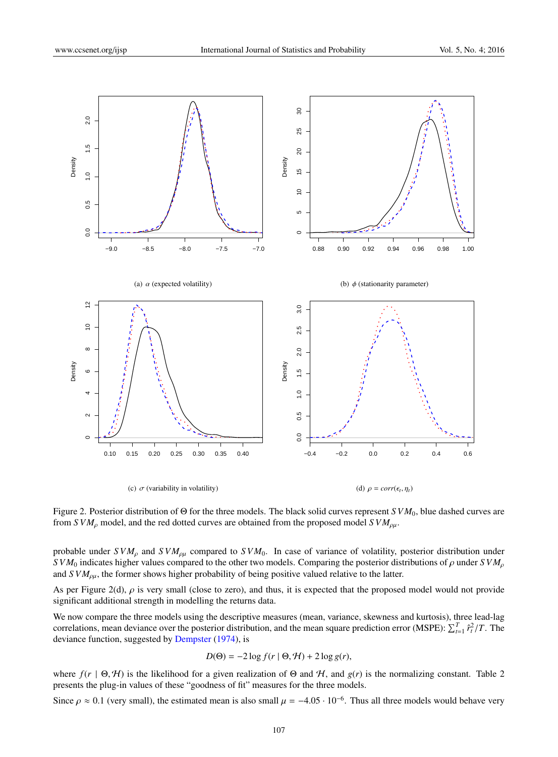

Figure 2. Posterior distribution of Θ for the three models. The black solid curves represent *S VM*0, blue dashed curves are from *S VM<sub>ρ</sub>* model, and the red dotted curves are obtained from the proposed model *S VM<sub>ρμ</sub>*.

probable under  $SVM<sub>\rho\mu</sub>$  and  $SVM<sub>\rho\mu</sub>$  compared to  $SVM<sub>0</sub>$ . In case of variance of volatility, posterior distribution under *S VM*<sub>0</sub> indicates higher values compared to the other two models. Comparing the posterior distributions of  $\rho$  under *S VM*<sub> $\rho$ </sub> and *S VM*ρµ, the former shows higher probability of being positive valued relative to the latter.

As per Figure 2(d),  $\rho$  is very small (close to zero), and thus, it is expected that the proposed model would not provide significant additional strength in modelling the returns data.

We now compare the three models using the descriptive measures (mean, variance, skewness and kurtosis), three lead-lag correlations, mean deviance over the posterior distribution, and the mean square prediction error (MSPE):  $\sum_{t=1}^{T} \hat{r}_t^2/T$ . The deviance function, suggested by Dempster (1974), is

$$
D(\Theta) = -2\log f(r \mid \Theta, \mathcal{H}) + 2\log g(r),
$$

where  $f(r | \Theta, \mathcal{H})$  is the likelihood for a given realization of  $\Theta$  and  $\mathcal{H}$ , and  $g(r)$  is the normalizing constant. Table 2 presents the plug-in values of these "goodness of fit" measures for the three models.

Since  $\rho \approx 0.1$  (very small), the estimated mean is also small  $\mu = -4.05 \cdot 10^{-6}$ . Thus all three models would behave very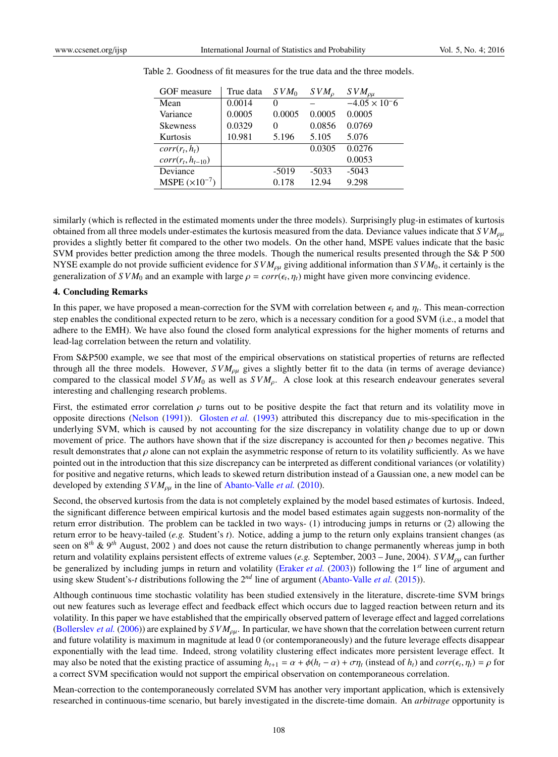| GOF measure             | True data | $SVM_0$  | SVM <sub>o</sub> | $SVM_{\rho\mu}$        |
|-------------------------|-----------|----------|------------------|------------------------|
| Mean                    | 0.0014    | $\theta$ |                  | $-4.05 \times 10^{-6}$ |
| Variance                | 0.0005    | 0.0005   | 0.0005           | 0.0005                 |
| <b>Skewness</b>         | 0.0329    | $\theta$ | 0.0856           | 0.0769                 |
| Kurtosis                | 10.981    | 5.196    | 5.105            | 5.076                  |
| $corr(r_t, h_t)$        |           |          | 0.0305           | 0.0276                 |
| $corr(r_t, h_{t-10})$   |           |          |                  | 0.0053                 |
| Deviance                |           | $-5019$  | $-5033$          | $-5043$                |
| MSPE $(\times 10^{-7})$ |           | 0.178    | 12.94            | 9.298                  |

Table 2. Goodness of fit measures for the true data and the three models.

similarly (which is reflected in the estimated moments under the three models). Surprisingly plug-in estimates of kurtosis obtained from all three models under-estimates the kurtosis measured from the data. Deviance values indicate that  $SVM_{out}$ provides a slightly better fit compared to the other two models. On the other hand, MSPE values indicate that the basic SVM provides better prediction among the three models. Though the numerical results presented through the S& P 500 NYSE example do not provide sufficient evidence for  $SVM_{\rho\mu}$  giving additional information than  $SVM_0$ , it certainly is the generalization of *SVM*<sup>0</sup> and an example with large  $\rho = corr(\epsilon_t, \eta_t)$  might have given more convincing evidence.

#### 4. Concluding Remarks

In this paper, we have proposed a mean-correction for the SVM with correlation between  $\epsilon_t$  and  $\eta_t$ . This mean-correction step enables the conditional expected return to be zero, which is a necessary condition for a good SVM (i.e., a model that adhere to the EMH). We have also found the closed form analytical expressions for the higher moments of returns and lead-lag correlation between the return and volatility.

From S&P500 example, we see that most of the empirical observations on statistical properties of returns are reflected through all the three models. However,  $SVM_{\rho\mu}$  gives a slightly better fit to the data (in terms of average deviance) compared to the classical model  $SVM_0$  as well as  $SVM_0$ . A close look at this research endeavour generates several interesting and challenging research problems.

First, the estimated error correlation  $\rho$  turns out to be positive despite the fact that return and its volatility move in opposite directions (Nelson (1991)). Glosten *et al.* (1993) attributed this discrepancy due to mis-specification in the underlying SVM, which is caused by not accounting for the size discrepancy in volatility change due to up or down movement of price. The authors have shown that if the size discrepancy is accounted for then  $\rho$  becomes negative. This result demonstrates that  $\rho$  alone can not explain the asymmetric response of return to its volatility sufficiently. As we have pointed out in the introduction that this size discrepancy can be interpreted as different conditional variances (or volatility) for positive and negative returns, which leads to skewed return distribution instead of a Gaussian one, a new model can be developed by extending *S VM<sub>ρμ</sub>* in the line of Abanto-Valle *et al.* (2010).

Second, the observed kurtosis from the data is not completely explained by the model based estimates of kurtosis. Indeed, the significant difference between empirical kurtosis and the model based estimates again suggests non-normality of the return error distribution. The problem can be tackled in two ways- (1) introducing jumps in returns or (2) allowing the return error to be heavy-tailed (*e.g.* Student's *t*). Notice, adding a jump to the return only explains transient changes (as seen on 8*th* & 9*th* August, 2002 ) and does not cause the return distribution to change permanently whereas jump in both return and volatility explains persistent effects of extreme values (*e.g.* September, 2003 – June, 2004). *SVM<sub>ρμ</sub>* can further be generalized by including jumps in return and volatility (Eraker *et al.* (2003)) following the 1*st* line of argument and using skew Student's-*t* distributions following the 2*nd* line of argument (Abanto-Valle *et al.* (2015)).

Although continuous time stochastic volatility has been studied extensively in the literature, discrete-time SVM brings out new features such as leverage effect and feedback effect which occurs due to lagged reaction between return and its volatility. In this paper we have established that the empirically observed pattern of leverage effect and lagged correlations (Bollerslev *et al.* (2006)) are explained by  $SVM_{\rho\mu}$ . In particular, we have shown that the correlation between current return and future volatility is maximum in magnitude at lead 0 (or contemporaneously) and the future leverage effects disappear exponentially with the lead time. Indeed, strong volatility clustering effect indicates more persistent leverage effect. It may also be noted that the existing practice of assuming  $h_{t+1} = \alpha + \phi(h_t - \alpha) + \sigma \eta_t$  (instead of  $h_t$ ) and  $corr(\epsilon_t, \eta_t) = \rho$  for a correct SVM specification would not support the empirical observation on contemporaneous correlation.

Mean-correction to the contemporaneously correlated SVM has another very important application, which is extensively researched in continuous-time scenario, but barely investigated in the discrete-time domain. An *arbitrage* opportunity is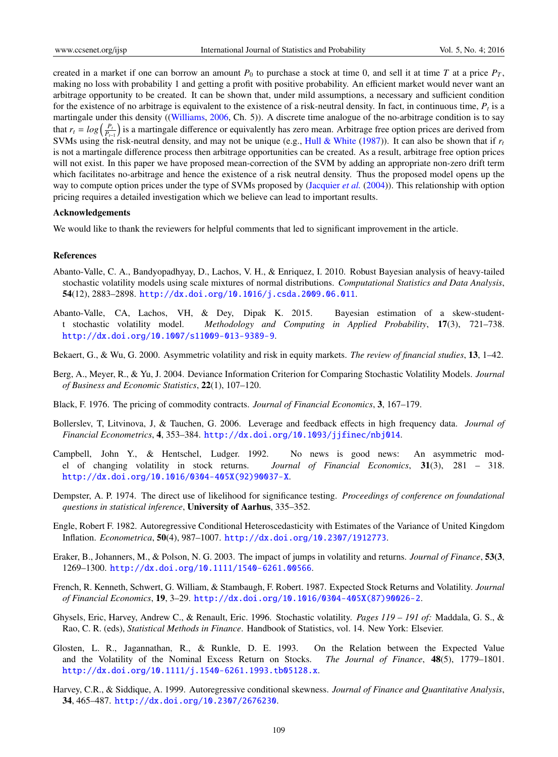created in a market if one can borrow an amount  $P_0$  to purchase a stock at time 0, and sell it at time *T* at a price  $P_T$ , making no loss with probability 1 and getting a profit with positive probability. An efficient market would never want an arbitrage opportunity to be created. It can be shown that, under mild assumptions, a necessary and sufficient condition for the existence of no arbitrage is equivalent to the existence of a risk-neutral density. In fact, in continuous time,  $P_t$  is a martingale under this density ((Williams, 2006, Ch. 5)). A discrete time analogue of the no-arbitrage condition is to say that  $r_t = log(\frac{P_t}{P_{t-1}})$  is a martingale difference or equivalently has zero mean. Arbitrage free option prices are derived from SVMs using the risk-neutral density, and may not be unique (e.g., Hull & White (1987)). It can also be shown that if  $r<sub>t</sub>$ is not a martingale difference process then arbitrage opportunities can be created. As a result, arbitrage free option prices will not exist. In this paper we have proposed mean-correction of the SVM by adding an appropriate non-zero drift term which facilitates no-arbitrage and hence the existence of a risk neutral density. Thus the proposed model opens up the way to compute option prices under the type of SVMs proposed by (Jacquier *et al.* (2004)). This relationship with option pricing requires a detailed investigation which we believe can lead to important results.

# Acknowledgements

We would like to thank the reviewers for helpful comments that led to significant improvement in the article.

#### References

- Abanto-Valle, C. A., Bandyopadhyay, D., Lachos, V. H., & Enriquez, I. 2010. Robust Bayesian analysis of heavy-tailed stochastic volatility models using scale mixtures of normal distributions. *Computational Statistics and Data Analysis*, 54(12), 2883–2898. http://dx.doi.org/10.1016/j.csda.2009.06.011.
- Abanto-Valle, CA, Lachos, VH, & Dey, Dipak K. 2015. Bayesian estimation of a skew-studentt stochastic volatility model. *Methodology and Computing in Applied Probability*, 17(3), 721–738. http://dx.doi.org/10.1007/s11009-013-9389-9.
- Bekaert, G., & Wu, G. 2000. Asymmetric volatility and risk in equity markets. *The review of financial studies*, 13, 1–42.
- Berg, A., Meyer, R., & Yu, J. 2004. Deviance Information Criterion for Comparing Stochastic Volatility Models. *Journal of Business and Economic Statistics*, 22(1), 107–120.
- Black, F. 1976. The pricing of commodity contracts. *Journal of Financial Economics*, 3, 167–179.
- Bollerslev, T, Litvinova, J, & Tauchen, G. 2006. Leverage and feedback effects in high frequency data. *Journal of Financial Econometrics*, 4, 353–384. http://dx.doi.org/10.1093/jjfinec/nbj014.
- Campbell, John Y., & Hentschel, Ludger. 1992. No news is good news: An asymmetric model of changing volatility in stock returns. *Journal of Financial Economics*, 31(3), 281 – 318. http://dx.doi.org/10.1016/0304-405X(92)90037-X.
- Dempster, A. P. 1974. The direct use of likelihood for significance testing. *Proceedings of conference on foundational questions in statistical inference*, University of Aarhus, 335–352.
- Engle, Robert F. 1982. Autoregressive Conditional Heteroscedasticity with Estimates of the Variance of United Kingdom Inflation. *Econometrica*, 50(4), 987–1007. http://dx.doi.org/10.2307/1912773.
- Eraker, B., Johanners, M., & Polson, N. G. 2003. The impact of jumps in volatility and returns. *Journal of Finance*, 53(3, 1269–1300. http://dx.doi.org/10.1111/1540-6261.00566.
- French, R. Kenneth, Schwert, G. William, & Stambaugh, F. Robert. 1987. Expected Stock Returns and Volatility. *Journal of Financial Economics*, 19, 3–29. http://dx.doi.org/10.1016/0304-405X(87)90026-2.
- Ghysels, Eric, Harvey, Andrew C., & Renault, Eric. 1996. Stochastic volatility. *Pages 119 191 of:* Maddala, G. S., & Rao, C. R. (eds), *Statistical Methods in Finance*. Handbook of Statistics, vol. 14. New York: Elsevier.
- Glosten, L. R., Jagannathan, R., & Runkle, D. E. 1993. On the Relation between the Expected Value and the Volatility of the Nominal Excess Return on Stocks. *The Journal of Finance*, 48(5), 1779–1801. http://dx.doi.org/10.1111/j.1540-6261.1993.tb05128.x.
- Harvey, C.R., & Siddique, A. 1999. Autoregressive conditional skewness. *Journal of Finance and Quantitative Analysis*, 34, 465–487. http://dx.doi.org/10.2307/2676230.